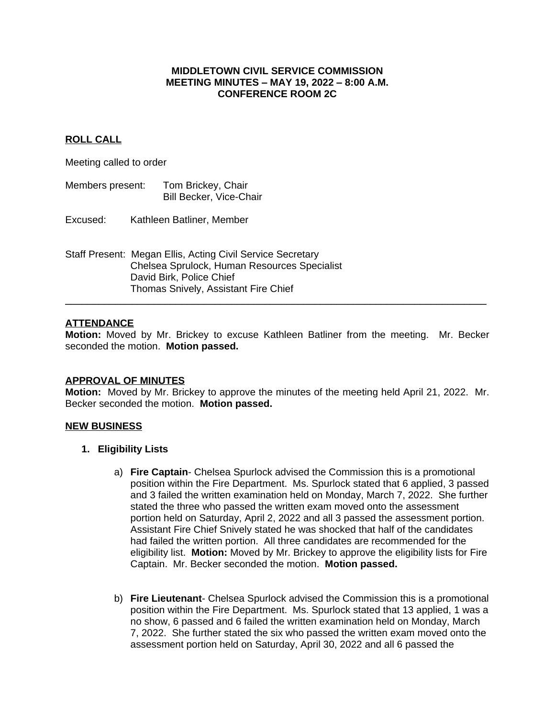### **MIDDLETOWN CIVIL SERVICE COMMISSION MEETING MINUTES – MAY 19, 2022 – 8:00 A.M. CONFERENCE ROOM 2C**

## **ROLL CALL**

Meeting called to order

- Members present: Tom Brickey, Chair Bill Becker, Vice-Chair
- Excused: Kathleen Batliner, Member
- Staff Present: Megan Ellis, Acting Civil Service Secretary Chelsea Sprulock, Human Resources Specialist David Birk, Police Chief Thomas Snively, Assistant Fire Chief

## **ATTENDANCE**

**Motion:** Moved by Mr. Brickey to excuse Kathleen Batliner from the meeting. Mr. Becker seconded the motion. **Motion passed.**

**\_\_\_\_\_\_\_\_\_\_\_\_\_\_\_\_\_\_\_\_\_\_\_\_\_\_\_\_\_\_\_\_\_\_\_\_\_\_\_\_\_\_\_\_\_\_\_\_\_\_\_\_\_\_\_\_\_\_\_\_\_\_\_\_\_\_\_\_\_\_\_\_\_\_\_\_**

#### **APPROVAL OF MINUTES**

**Motion:** Moved by Mr. Brickey to approve the minutes of the meeting held April 21, 2022. Mr. Becker seconded the motion. **Motion passed.**

#### **NEW BUSINESS**

- **1. Eligibility Lists**
	- a) **Fire Captain** Chelsea Spurlock advised the Commission this is a promotional position within the Fire Department. Ms. Spurlock stated that 6 applied, 3 passed and 3 failed the written examination held on Monday, March 7, 2022. She further stated the three who passed the written exam moved onto the assessment portion held on Saturday, April 2, 2022 and all 3 passed the assessment portion. Assistant Fire Chief Snively stated he was shocked that half of the candidates had failed the written portion. All three candidates are recommended for the eligibility list. **Motion:** Moved by Mr. Brickey to approve the eligibility lists for Fire Captain. Mr. Becker seconded the motion. **Motion passed.**
	- b) **Fire Lieutenant** Chelsea Spurlock advised the Commission this is a promotional position within the Fire Department. Ms. Spurlock stated that 13 applied, 1 was a no show, 6 passed and 6 failed the written examination held on Monday, March 7, 2022. She further stated the six who passed the written exam moved onto the assessment portion held on Saturday, April 30, 2022 and all 6 passed the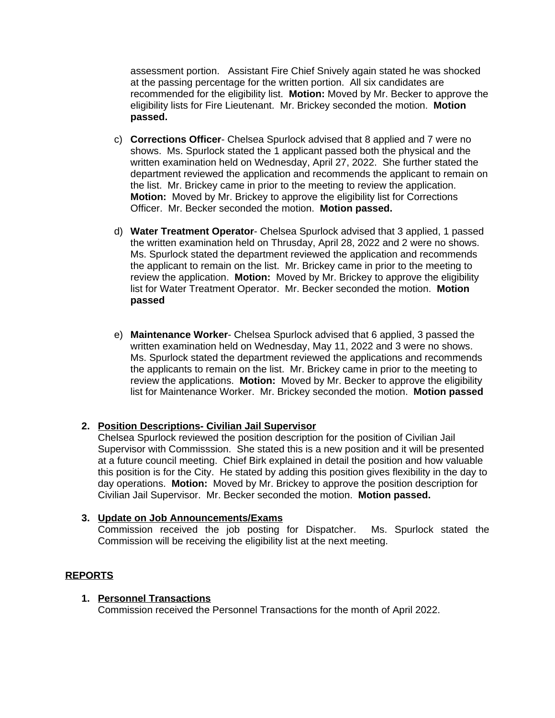assessment portion. Assistant Fire Chief Snively again stated he was shocked at the passing percentage for the written portion. All six candidates are recommended for the eligibility list. **Motion:** Moved by Mr. Becker to approve the eligibility lists for Fire Lieutenant. Mr. Brickey seconded the motion. **Motion passed.**

- c) **Corrections Officer** Chelsea Spurlock advised that 8 applied and 7 were no shows. Ms. Spurlock stated the 1 applicant passed both the physical and the written examination held on Wednesday, April 27, 2022. She further stated the department reviewed the application and recommends the applicant to remain on the list. Mr. Brickey came in prior to the meeting to review the application. **Motion:** Moved by Mr. Brickey to approve the eligibility list for Corrections Officer. Mr. Becker seconded the motion. **Motion passed.**
- d) **Water Treatment Operator** Chelsea Spurlock advised that 3 applied, 1 passed the written examination held on Thrusday, April 28, 2022 and 2 were no shows. Ms. Spurlock stated the department reviewed the application and recommends the applicant to remain on the list. Mr. Brickey came in prior to the meeting to review the application. **Motion:** Moved by Mr. Brickey to approve the eligibility list for Water Treatment Operator. Mr. Becker seconded the motion. **Motion passed**
- e) **Maintenance Worker** Chelsea Spurlock advised that 6 applied, 3 passed the written examination held on Wednesday, May 11, 2022 and 3 were no shows. Ms. Spurlock stated the department reviewed the applications and recommends the applicants to remain on the list. Mr. Brickey came in prior to the meeting to review the applications. **Motion:** Moved by Mr. Becker to approve the eligibility list for Maintenance Worker. Mr. Brickey seconded the motion. **Motion passed**

# **2. Position Descriptions- Civilian Jail Supervisor**

Chelsea Spurlock reviewed the position description for the position of Civilian Jail Supervisor with Commisssion. She stated this is a new position and it will be presented at a future council meeting. Chief Birk explained in detail the position and how valuable this position is for the City. He stated by adding this position gives flexibility in the day to day operations. **Motion:** Moved by Mr. Brickey to approve the position description for Civilian Jail Supervisor. Mr. Becker seconded the motion. **Motion passed.**

## **3. Update on Job Announcements/Exams**

Commission received the job posting for Dispatcher. Ms. Spurlock stated the Commission will be receiving the eligibility list at the next meeting.

# **REPORTS**

## **1. Personnel Transactions**

Commission received the Personnel Transactions for the month of April 2022.